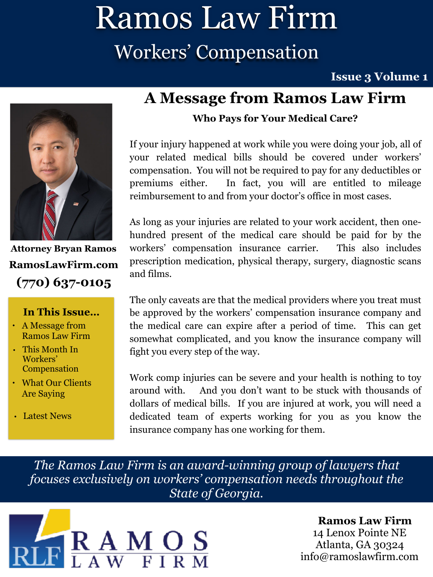# Ramos Law Firm Workers' Compensation

**Issue 3 Volume 1** 



**Attorney Bryan Ramos (770) 637-0105 [RamosLawFirm.com](http://ramoslawfirm.com)**

#### **In This Issue…**

- A Message from Ramos Law Firm
- This Month In Workers' Compensation
- What Our Clients Are Saying
- Latest News

### **A Message from Ramos Law Firm**

#### **Who Pays for Your Medical Care?**

If your injury happened at work while you were doing your job, all of your related medical bills should be covered under workers' compensation. You will not be required to pay for any deductibles or premiums either. In fact, you will are entitled to mileage reimbursement to and from your doctor's office in most cases.

As long as your injuries are related to your work accident, then onehundred present of the medical care should be paid for by the workers' compensation insurance carrier. This also includes prescription medication, physical therapy, surgery, diagnostic scans and films.

The only caveats are that the medical providers where you treat must be approved by the workers' compensation insurance company and the medical care can expire after a period of time. This can get somewhat complicated, and you know the insurance company will fight you every step of the way.

Work comp injuries can be severe and your health is nothing to toy around with. And you don't want to be stuck with thousands of dollars of medical bills. If you are injured at work, you will need a dedicated team of experts working for you as you know the insurance company has one working for them.

*The Ramos Law Firm is an award-winning group of lawyers that focuses exclusively on workers' compensation needs throughout the State of Georgia.*



#### **Ramos Law Firm**  14 Lenox Pointe NE Atlanta, GA 30324 [info@ramoslawfirm.com](mailto:info@ramoslawfirm.com?subject=)